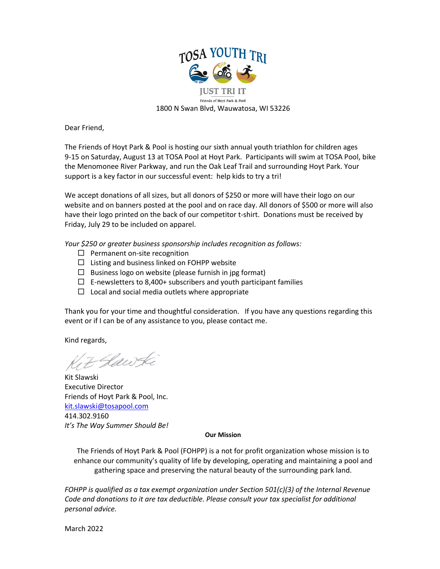

Dear Friend,

The Friends of Hoyt Park & Pool is hosting our sixth annual youth triathlon for children ages 9-15 on Saturday, August 13 at TOSA Pool at Hoyt Park. Participants will swim at TOSA Pool, bike the Menomonee River Parkway, and run the Oak Leaf Trail and surrounding Hoyt Park. Your support is a key factor in our successful event: help kids to try a tri!

We accept donations of all sizes, but all donors of \$250 or more will have their logo on our website and on banners posted at the pool and on race day. All donors of \$500 or more will also have their logo printed on the back of our competitor t-shirt. Donations must be received by Friday, July 29 to be included on apparel.

*Your \$250 or greater business sponsorship includes recognition as follows:*

- $\Box$  Permanent on-site recognition
- $\Box$  Listing and business linked on FOHPP website
- $\square$  Business logo on website (please furnish in jpg format)
- $\Box$  E-newsletters to 8,400+ subscribers and youth participant families
- $\Box$  Local and social media outlets where appropriate

Thank you for your time and thoughtful consideration. If you have any questions regarding this event or if I can be of any assistance to you, please contact me.

Kind regards,

7 Hawki

Kit Slawski Executive Director Friends of Hoyt Park & Pool, Inc. [kit.slawski@tosapool.com](mailto:kit.slawski@tosapool.com) 414.302.9160 *It's The Way Summer Should Be!*

## **Our Mission**

The Friends of Hoyt Park & Pool (FOHPP) is a not for profit organization whose mission is to enhance our community's quality of life by developing, operating and maintaining a pool and gathering space and preserving the natural beauty of the surrounding park land.

*FOHPP is qualified as a tax exempt organization under Section 501(c)(3) of the Internal Revenue Code and donations to it are tax deductible. Please consult your tax specialist for additional personal advice.*

March 2022